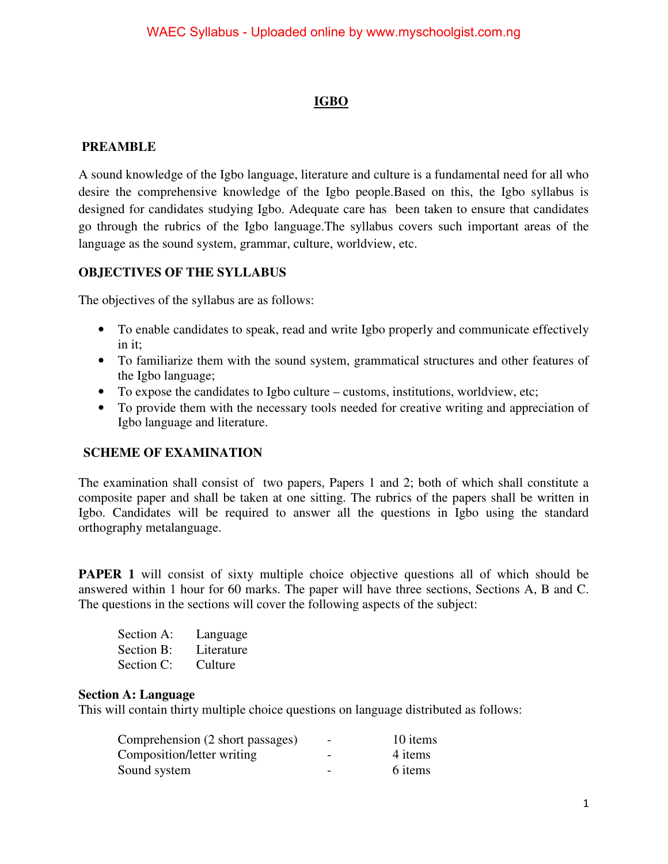# **IGBO**

### **PREAMBLE**

A sound knowledge of the Igbo language, literature and culture is a fundamental need for all who desire the comprehensive knowledge of the Igbo people.Based on this, the Igbo syllabus is designed for candidates studying Igbo. Adequate care has been taken to ensure that candidates go through the rubrics of the Igbo language.The syllabus covers such important areas of the language as the sound system, grammar, culture, worldview, etc.

### **OBJECTIVES OF THE SYLLABUS**

The objectives of the syllabus are as follows:

- To enable candidates to speak, read and write Igbo properly and communicate effectively in it;
- To familiarize them with the sound system, grammatical structures and other features of the Igbo language;
- To expose the candidates to Igbo culture customs, institutions, worldview, etc;
- To provide them with the necessary tools needed for creative writing and appreciation of Igbo language and literature.

### **SCHEME OF EXAMINATION**

The examination shall consist of two papers, Papers 1 and 2; both of which shall constitute a composite paper and shall be taken at one sitting. The rubrics of the papers shall be written in Igbo. Candidates will be required to answer all the questions in Igbo using the standard orthography metalanguage.

**PAPER 1** will consist of sixty multiple choice objective questions all of which should be answered within 1 hour for 60 marks. The paper will have three sections, Sections A, B and C. The questions in the sections will cover the following aspects of the subject:

| Section A: | Language   |
|------------|------------|
| Section B: | Literature |
| Section C: | Culture    |

#### **Section A: Language**

This will contain thirty multiple choice questions on language distributed as follows:

| Comprehension (2 short passages) | $\overline{\phantom{a}}$ | 10 items |
|----------------------------------|--------------------------|----------|
| Composition/letter writing       |                          | 4 items  |
| Sound system                     | $\overline{\phantom{0}}$ | 6 items  |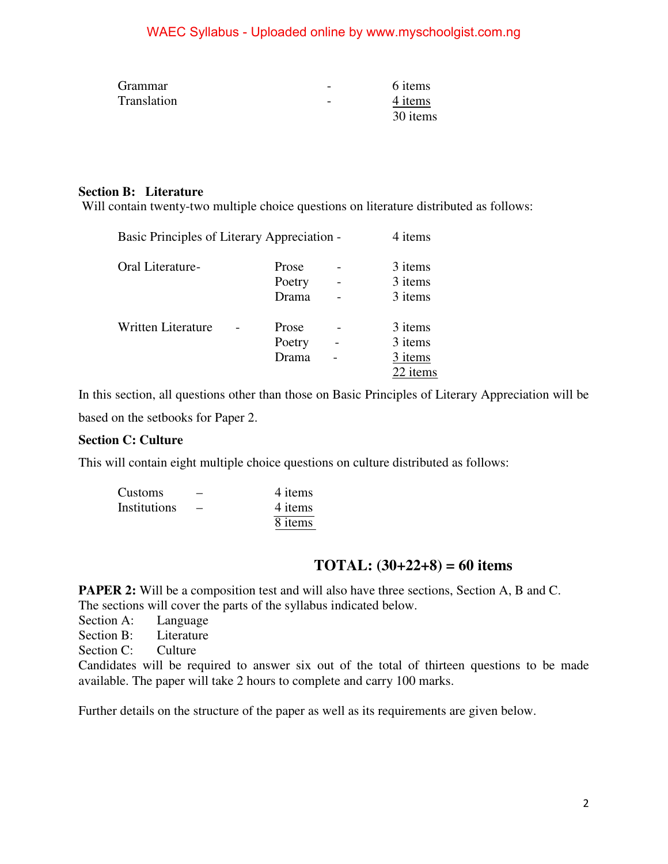| <b>Grammar</b> | $\overline{\phantom{a}}$ | 6 items  |
|----------------|--------------------------|----------|
| Translation    | $\overline{\phantom{m}}$ | 4 items  |
|                |                          | 30 items |

### **Section B: Literature**

Will contain twenty-two multiple choice questions on literature distributed as follows:

|                           | Basic Principles of Literary Appreciation - |                 |                          |                    |  |
|---------------------------|---------------------------------------------|-----------------|--------------------------|--------------------|--|
| Oral Literature-          |                                             | Prose<br>Poetry |                          | 3 items<br>3 items |  |
|                           |                                             | Drama           |                          | 3 items            |  |
| <b>Written Literature</b> |                                             | Prose           |                          | 3 items            |  |
|                           |                                             | Poetry          | $\overline{\phantom{0}}$ | 3 items            |  |
|                           |                                             | Drama           |                          | 3 items            |  |
|                           |                                             |                 |                          | 22 items           |  |

In this section, all questions other than those on Basic Principles of Literary Appreciation will be based on the setbooks for Paper 2.

### **Section C: Culture**

This will contain eight multiple choice questions on culture distributed as follows:

| <b>Customs</b> | $\overline{\phantom{0}}$ | 4 items   |
|----------------|--------------------------|-----------|
| Institutions   |                          | 4 items   |
|                |                          | $8$ items |

# **TOTAL: (30+22+8) = 60 items**

**PAPER 2:** Will be a composition test and will also have three sections, Section A, B and C. The sections will cover the parts of the syllabus indicated below.

Section A: Language

Section B: Literature

Section C: Culture

Candidates will be required to answer six out of the total of thirteen questions to be made available. The paper will take 2 hours to complete and carry 100 marks.

Further details on the structure of the paper as well as its requirements are given below.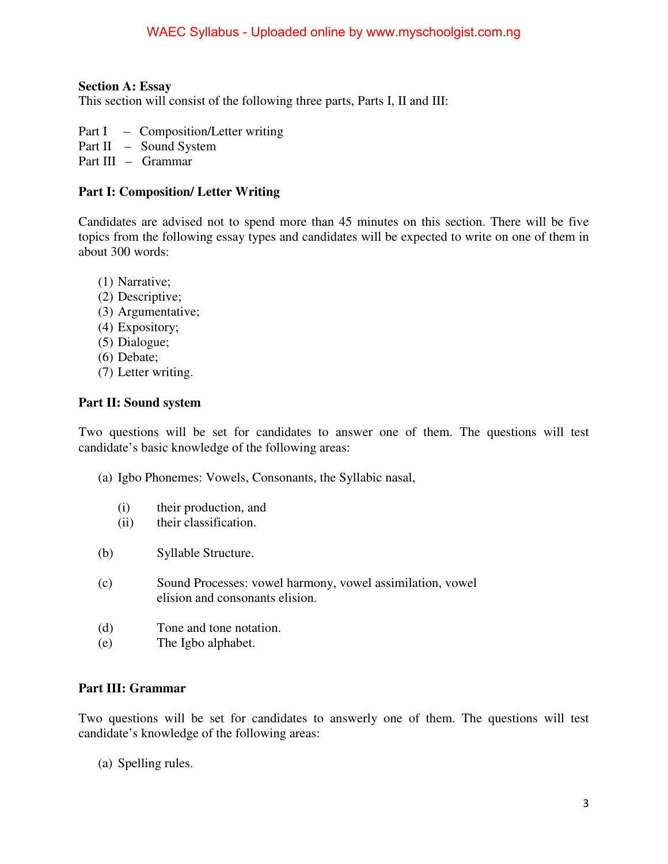#### **Section A: Essay**

This section will consist of the following three parts, Parts I, II and III:

- Part I Composition/Letter writing
- Part II Sound System
- Part III Grammar

#### **Part I: Composition/ Letter Writing**

Candidates are advised not to spend more than 45 minutes on this section. There will be five topics from the following essay types and candidates will be expected to write on one of them in about 300 words:

- (1) Narrative;
- (2) Descriptive;
- (3) Argumentative;
- (4) Expository;
- (5) Dialogue;
- (6) Debate;
- (7) Letter writing.

#### **Part II: Sound system**

Two questions will be set for candidates to answer one of them. The questions will test candidate's basic knowledge of the following areas:

- (a) Igbo Phonemes: Vowels, Consonants, the Syllabic nasal,
	- (i) their production, and
	- (ii) their classification.
- (b) Syllable Structure.
- (c) Sound Processes: vowel harmony, vowel assimilation, vowel elision and consonants elision.
- (d) Tone and tone notation.
- (e) The Igbo alphabet.

#### **Part III: Grammar**

Two questions will be set for candidates to answerly one of them. The questions will test candidate's knowledge of the following areas:

(a) Spelling rules.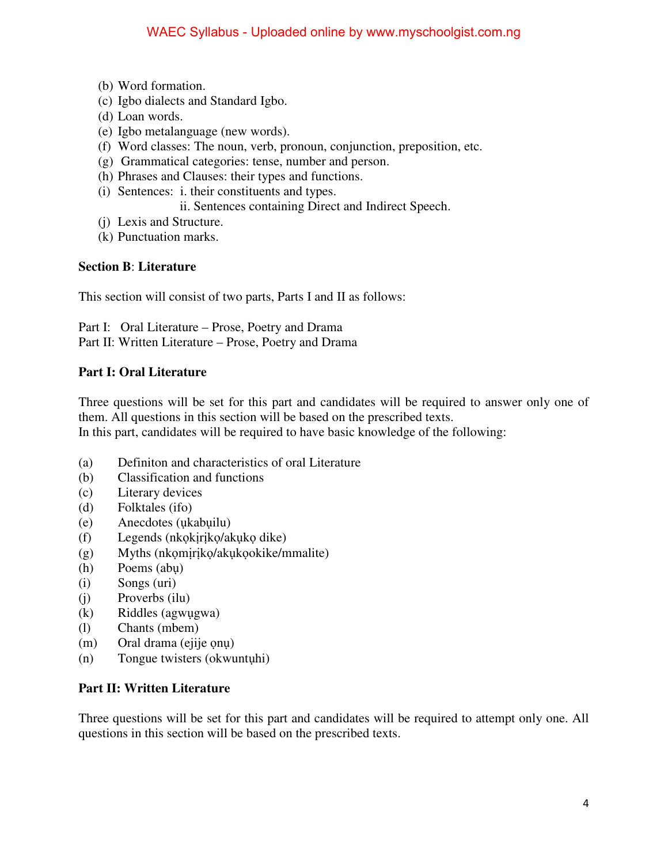- (b) Word formation.
- (c) Igbo dialects and Standard Igbo.
- (d) Loan words.
- (e) Igbo metalanguage (new words).
- (f) Word classes: The noun, verb, pronoun, conjunction, preposition, etc.
- (g) Grammatical categories: tense, number and person.
- (h) Phrases and Clauses: their types and functions.
- (i) Sentences: i. their constituents and types.

ii. Sentences containing Direct and Indirect Speech.

- (j) Lexis and Structure.
- (k) Punctuation marks.

#### **Section B**: **Literature**

This section will consist of two parts, Parts I and II as follows:

Part I: Oral Literature – Prose, Poetry and Drama Part II: Written Literature – Prose, Poetry and Drama

### **Part I: Oral Literature**

Three questions will be set for this part and candidates will be required to answer only one of them. All questions in this section will be based on the prescribed texts. In this part, candidates will be required to have basic knowledge of the following:

- (a) Definiton and characteristics of oral Literature
- (b) Classification and functions
- (c) Literary devices
- (d) Folktales (ifo)
- (e) Anecdotes (ụkabụilu)
- (f) Legends (nkọkịrịkọ/akụkọ dike)
- (g) Myths (nkọmịrịkọ/akụkọokike/mmalite)
- (h) Poems (abụ)
- (i) Songs (uri)
- (j) Proverbs (ilu)
- (k) Riddles (agwụgwa)
- (l) Chants (mbem)
- (m) Oral drama (ejije onu)
- (n) Tongue twisters (okwuntụhi)

#### **Part II: Written Literature**

Three questions will be set for this part and candidates will be required to attempt only one. All questions in this section will be based on the prescribed texts.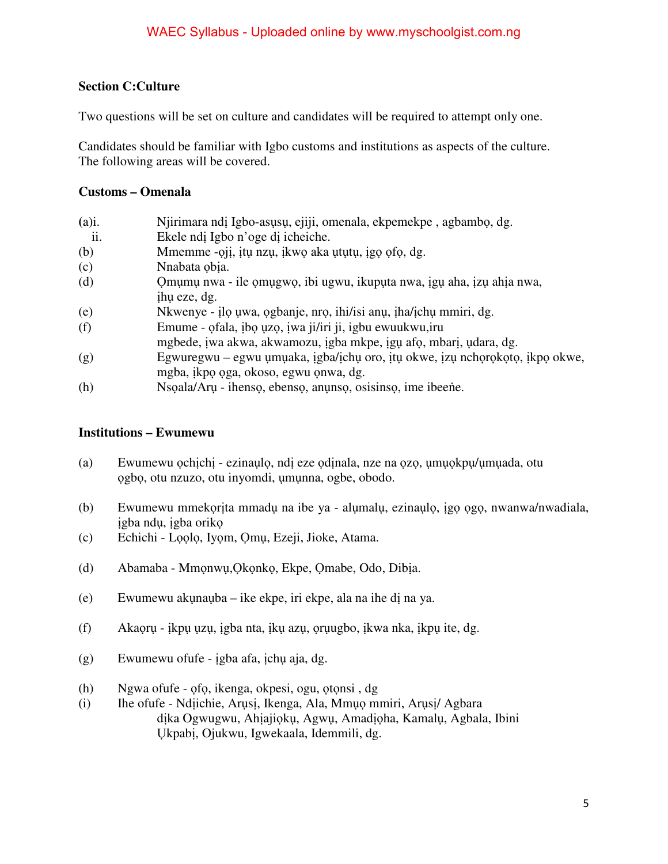### **Section C:Culture**

Two questions will be set on culture and candidates will be required to attempt only one.

Candidates should be familiar with Igbo customs and institutions as aspects of the culture. The following areas will be covered.

### **Customs – Omenala**

| $(a)$ i. | Njirimara ndi Igbo-asusu, ejiji, omenala, ekpemekpe, agbambo, dg.            |
|----------|------------------------------------------------------------------------------|
| ii.      | Ekele ndi Igbo n'oge di icheiche.                                            |
| (b)      | Mmemme -qii, itu nzu, ikwo aka ututu, igo ofo, dg.                           |
| (c)      | Nnabata obia.                                                                |
| (d)      | Omumu nwa - ile omugwo, ibi ugwu, ikuputa nwa, igu aha, izu ahia nwa,        |
|          | ihu eze, dg.                                                                 |
| (e)      | Nkwenye - ilo uwa, ogbanje, nro, ihi/isi anu, iha/ichu mmiri, dg.            |
| (f)      | Emume - ofala, ibo uzo, iwa ji/iri ji, igbu ewuukwu, iru                     |
|          | mgbede, iwa akwa, akwamozu, igba mkpe, igu afo, mbari, udara, dg.            |
| (g)      | Egwuregwu – egwu umuaka, igba/ichu oro, itu okwe, izu nchorokoto, ikpo okwe, |
|          | mgba, ikpo oga, okoso, egwu onwa, dg.                                        |
| (h)      | Nsoala/Aru - ihenso, ebenso, anunso, osisinso, ime ibeene.                   |

### **Institutions – Ewumewu**

- (a) Ewumewu ọchịchị ezinaụlọ, ndị eze ọdịnala, nze na ọzọ, ụmụọkpụ/ụmụada, otu ọgbọ, otu nzuzo, otu inyomdi, ụmụnna, ogbe, obodo.
- (b) Ewumewu mmekọrịta mmadụ na ibe ya alụmalụ, ezinaụlọ, ịgọ ọgọ, nwanwa/nwadiala, ịgba ndụ, ịgba orikọ
- (c) Echichi Lọọlọ, Iyọm, Ọmụ, Ezeji, Jioke, Atama.
- (d) Abamaba Mmọnwụ,Ọkọnkọ, Ekpe, Ọmabe, Odo, Dibịa.
- (e) Ewumewu akụnaụba ike ekpe, iri ekpe, ala na ihe dị na ya.
- (f) Akaọrụ ịkpụ ụzụ, ịgba nta, ịkụ azụ, ọrụugbo, ịkwa nka, ịkpụ ite, dg.
- (g) Ewumewu ofufe ịgba afa, ịchụ aja, dg.
- (h) Ngwa ofufe ọfọ, ikenga, okpesi, ogu, ọtọnsi , dg
- (i) Ihe ofufe Ndịichie, Arụsị, Ikenga, Ala, Mmụọ mmiri, Arụsị/ Agbara dịka Ogwugwu, Ahịajiọkụ, Agwụ, Amadịọha, Kamalụ, Agbala, Ibini Ụkpabị, Ojukwu, Igwekaala, Idemmili, dg.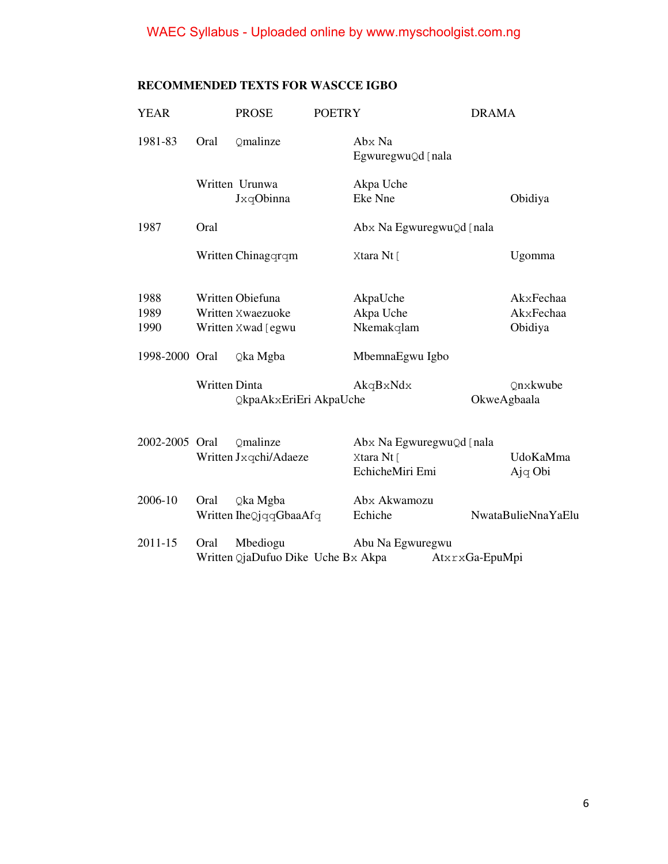# WAEC Syllabus - Uploaded online by www.myschoolgist.com.ng

| <b>YEAR</b>          |                      | <b>PROSE</b>                                                | <b>POETRY</b> |                                                           | <b>DRAMA</b>   |                                   |
|----------------------|----------------------|-------------------------------------------------------------|---------------|-----------------------------------------------------------|----------------|-----------------------------------|
| 1981-83              | Oral                 | Qmalinze                                                    |               | Abx Na<br>EgwuregwuQd [nala                               |                |                                   |
|                      |                      | Written Urunwa<br>JxqObinna                                 |               | Akpa Uche<br>Eke Nne                                      |                | Obidiya                           |
| 1987                 | Oral                 |                                                             |               | Abx Na EgwuregwuQd [nala                                  |                |                                   |
|                      |                      | Written Chinagqrqm                                          |               | Xtara Nt [                                                |                | Ugomma                            |
| 1988<br>1989<br>1990 |                      | Written Obiefuna<br>Written Xwaezuoke<br>Written Xwad [egwu |               | AkpaUche<br>Akpa Uche<br>Nkemakqlam                       |                | AkxFechaa<br>AkxFechaa<br>Obidiya |
| 1998-2000 Oral       |                      | Qka Mgba                                                    |               | MbemnaEgwu Igbo                                           |                |                                   |
|                      | <b>Written Dinta</b> | QkpaAkxEriEri AkpaUche                                      |               | AkqBxNdx                                                  | OkweAgbaala    | Onxkwube                          |
| 2002-2005 Oral       |                      | Omalinze<br>Written Jxqchi/Adaeze                           |               | Abx Na EgwuregwuQd [nala<br>Xtara Nt [<br>EchicheMiri Emi |                | UdoKaMma<br>Ajq Obi               |
| 2006-10              | Oral                 | Qka Mgba<br>Written IheQjqqGbaaAfq                          |               | Abx Akwamozu<br>Echiche                                   |                | NwataBulieNnaYaElu                |
| $2011 - 15$          | Oral                 | Mbediogu<br>Written QjaDufuo Dike Uche Bx Akpa              |               | Abu Na Egwuregwu                                          | AtxrxGa-EpuMpi |                                   |

# **RECOMMENDED TEXTS FOR WASCCE IGBO**